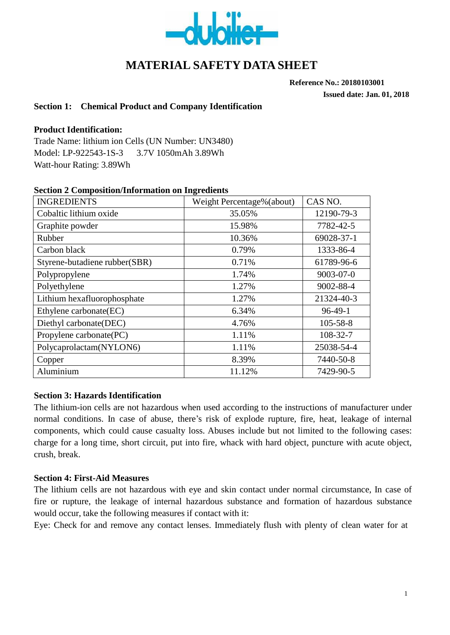

# **MATERIAL SAFETY DATA SHEET**

**Reference No.: 20180103001**

**Issued date: Jan. 01, 2018**

#### **Section 1: Chemical Product and Company Identification**

#### **Product Identification:**

Trade Name: lithium ion Cells (UN Number: UN3480) Model: LP-922543-1S-3 3.7V 1050mAh 3.89Wh Watt-hour Rating: 3.89Wh

| <b>INGREDIENTS</b>            | Weight Percentage%(about) | CAS NO.         |
|-------------------------------|---------------------------|-----------------|
| Cobaltic lithium oxide        | 35.05%                    | 12190-79-3      |
| Graphite powder               | 15.98%                    | 7782-42-5       |
| Rubber                        | 10.36%                    | 69028-37-1      |
| Carbon black                  | 0.79%                     | 1333-86-4       |
| Styrene-butadiene rubber(SBR) | 0.71%                     | 61789-96-6      |
| Polypropylene                 | 1.74%                     | $9003 - 07 - 0$ |
| Polyethylene                  | 1.27%                     | 9002-88-4       |
| Lithium hexafluorophosphate   | 1.27%                     | 21324-40-3      |
| Ethylene carbonate(EC)        | 6.34%                     | $96-49-1$       |
| Diethyl carbonate(DEC)        | 4.76%                     | $105 - 58 - 8$  |
| Propylene carbonate(PC)       | 1.11%                     | 108-32-7        |
| Polycaprolactam(NYLON6)       | 1.11%                     | 25038-54-4      |
| Copper                        | 8.39%                     | 7440-50-8       |
| Aluminium                     | 11.12%                    | 7429-90-5       |

#### **Section 2 Composition/Information on Ingredients**

#### **Section 3: Hazards Identification**

The lithium-ion cells are not hazardous when used according to the instructions of manufacturer under normal conditions. In case of abuse, there's risk of explode rupture, fire, heat, leakage of internal components, which could cause casualty loss. Abuses include but not limited to the following cases: charge for a long time, short circuit, put into fire, whack with hard object, puncture with acute object, crush, break.

#### **Section 4: First-Aid Measures**

The lithium cells are not hazardous with eye and skin contact under normal circumstance, In case of fire or rupture, the leakage of internal hazardous substance and formation of hazardous substance would occur, take the following measures if contact with it:

Eye: Check for and remove any contact lenses. Immediately flush with plenty of clean water for at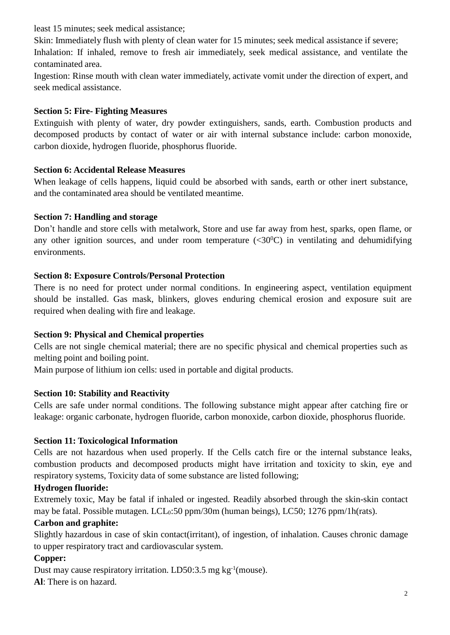least 15 minutes; seek medical assistance;

Skin: Immediately flush with plenty of clean water for 15 minutes; seek medical assistance if severe; Inhalation: If inhaled, remove to fresh air immediately, seek medical assistance, and ventilate the contaminated area.

Ingestion: Rinse mouth with clean water immediately, activate vomit under the direction of expert, and seek medical assistance.

### **Section 5: Fire- Fighting Measures**

Extinguish with plenty of water, dry powder extinguishers, sands, earth. Combustion products and decomposed products by contact of water or air with internal substance include: carbon monoxide, carbon dioxide, hydrogen fluoride, phosphorus fluoride.

### **Section 6: Accidental Release Measures**

When leakage of cells happens, liquid could be absorbed with sands, earth or other inert substance, and the contaminated area should be ventilated meantime.

### **Section 7: Handling and storage**

Don't handle and store cells with metalwork, Store and use far away from hest, sparks, open flame, or any other ignition sources, and under room temperature  $( $30^{\circ}$ C)$  in ventilating and dehumidifying environments.

### **Section 8: Exposure Controls/Personal Protection**

There is no need for protect under normal conditions. In engineering aspect, ventilation equipment should be installed. Gas mask, blinkers, gloves enduring chemical erosion and exposure suit are required when dealing with fire and leakage.

## **Section 9: Physical and Chemical properties**

Cells are not single chemical material; there are no specific physical and chemical properties such as melting point and boiling point.

Main purpose of lithium ion cells: used in portable and digital products.

## **Section 10: Stability and Reactivity**

Cells are safe under normal conditions. The following substance might appear after catching fire or leakage: organic carbonate, hydrogen fluoride, carbon monoxide, carbon dioxide, phosphorus fluoride.

## **Section 11: Toxicological Information**

Cells are not hazardous when used properly. If the Cells catch fire or the internal substance leaks, combustion products and decomposed products might have irritation and toxicity to skin, eye and respiratory systems, Toxicity data of some substance are listed following;

## **Hydrogen fluoride:**

Extremely toxic, May be fatal if inhaled or ingested. Readily absorbed through the skin-skin contact may be fatal. Possible mutagen.  $LCL_0:50$  ppm/30m (human beings),  $LCS_0$ ; 1276 ppm/1h(rats).

### **Carbon and graphite:**

Slightly hazardous in case of skin contact(irritant), of ingestion, of inhalation. Causes chronic damage to upper respiratory tract and cardiovascular system.

### **Copper:**

Dust may cause respiratory irritation. LD50:3.5 mg kg-1 (mouse).

**Al**: There is on hazard.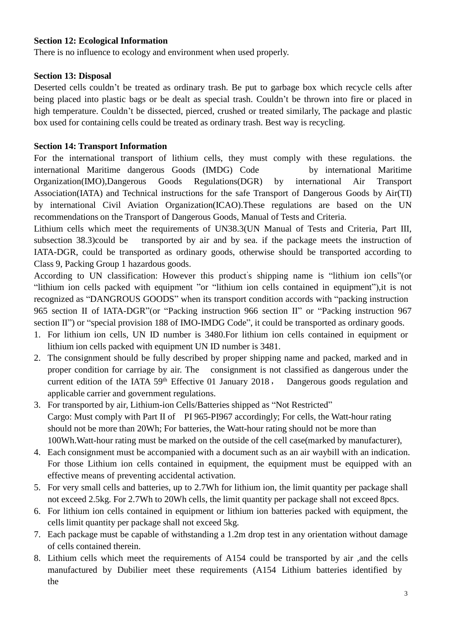#### **Section 12: Ecological Information**

There is no influence to ecology and environment when used properly.

#### **Section 13: Disposal**

Deserted cells couldn't be treated as ordinary trash. Be put to garbage box which recycle cells after being placed into plastic bags or be dealt as special trash. Couldn't be thrown into fire or placed in high temperature. Couldn't be dissected, pierced, crushed or treated similarly, The package and plastic box used for containing cells could be treated as ordinary trash. Best way is recycling.

#### **Section 14: Transport Information**

For the international transport of lithium cells, they must comply with these regulations. the international Maritime dangerous Goods (IMDG) Code by international Maritime Organization(IMO),Dangerous Goods Regulations(DGR) by international Air Transport Association(IATA) and Technical instructions for the safe Transport of Dangerous Goods by Air(TI) by international Civil Aviation Organization(ICAO).These regulations are based on the UN recommendations on the Transport of Dangerous Goods, Manual of Tests and Criteria.

Lithium cells which meet the requirements of UN38.3(UN Manual of Tests and Criteria, Part III, subsection 38.3)could be transported by air and by sea. if the package meets the instruction of IATA-DGR, could be transported as ordinary goods, otherwise should be transported according to Class 9, Packing Group 1 hazardous goods.

According to UN classification: However this product's shipping name is "lithium ion cells" (or "lithium ion cells packed with equipment "or "lithium ion cells contained in equipment"),it is not recognized as "DANGROUS GOODS" when its transport condition accords with "packing instruction 965 section II of IATA-DGR"(or "Packing instruction 966 section II" or "Packing instruction 967 section II") or "special provision 188 of IMO-IMDG Code", it could be transported as ordinary goods.

- 1. For lithium ion cells, UN ID number is 3480.For lithium ion cells contained in equipment or lithium ion cells packed with equipment UN ID number is 3481.
- 2. The consignment should be fully described by proper shipping name and packed, marked and in proper condition for carriage by air. The consignment is not classified as dangerous under the current edition of the IATA 59<sup>th</sup> Effective 01 January 2018, Dangerous goods regulation and applicable carrier and government regulations.
- 3. For transported by air, Lithium-ion Cells/Batteries shipped as "Not Restricted" Cargo: Must comply with Part II of PI 965-PI967 accordingly; For cells, the Watt-hour rating should not be more than 20Wh; For batteries, the Watt-hour rating should not be more than 100Wh.Watt-hour rating must be marked on the outside of the cell case(marked by manufacturer),
- 4. Each consignment must be accompanied with a document such as an air waybill with an indication. For those Lithium ion cells contained in equipment, the equipment must be equipped with an effective means of preventing accidental activation.
- 5. For very small cells and batteries, up to 2.7Wh for lithium ion, the limit quantity per package shall not exceed 2.5kg. For 2.7Wh to 20Wh cells, the limit quantity per package shall not exceed 8pcs.
- 6. For lithium ion cells contained in equipment or lithium ion batteries packed with equipment, the cells limit quantity per package shall not exceed 5kg.
- 7. Each package must be capable of withstanding a 1.2m drop test in any orientation without damage of cells contained therein.
- 8. Lithium cells which meet the requirements of A154 could be transported by air ,and the cells manufactured by Dubilier meet these requirements (A154 Lithium batteries identified by the